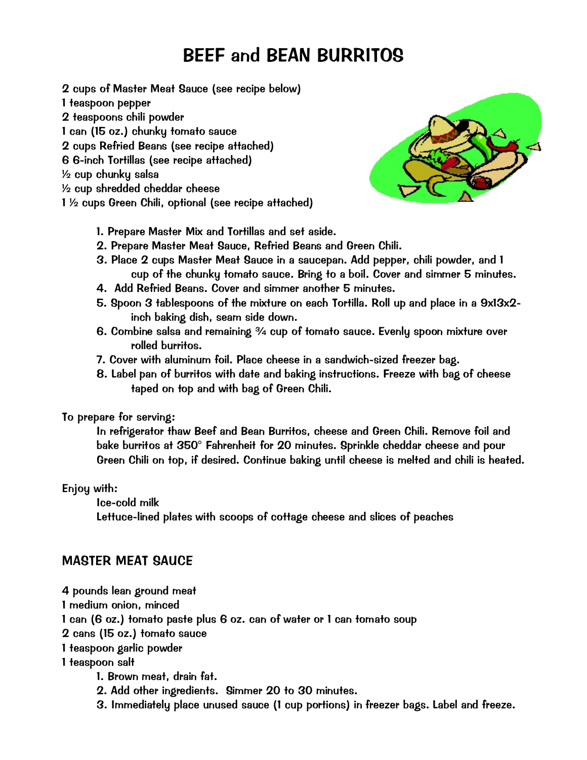# BEEF and BEAN BURRITOS

- 2 cups of *Master Meat Sauce* (see recipe below)
- 1 teaspoon pepper
- 2 teaspoons chili powder
- 1 can (15 oz.) chunky tomato sauce
- 2 cups *Refried Beans* (see recipe attached)
- 6 6-inch *Tortillas* (see recipe attached)

½ cup chunky salsa

- ½ cup shredded cheddar cheese
- 1 ½ cups *Green Chili*, optional (see recipe attached)



- 1. Prepare *Master Mix* and *Tortillas* and set aside.
- 2. Prepare *Master Meat Sauce*, *Refried Beans* and *Green Chili*.
- 3. Place 2 cups *Master Meat Sauce* in a saucepan. Add pepper, chili powder, and 1 cup of the chunky tomato sauce. Bring to a boil. Cover and simmer 5 minutes.
- 4. Add *Refried Beans*. Cover and simmer another 5 minutes.
- 5. Spoon 3 tablespoons of the mixture on each *Tortilla*. Roll up and place in a 9x13x2 inch baking dish, seam side down.
- 6. Combine salsa and remaining ¾ cup of tomato sauce. Evenly spoon mixture over rolled burritos.
- 7. Cover with aluminum foil. Place cheese in a sandwich-sized freezer bag.
- 8. Label pan of burritos with date and baking instructions. Freeze with bag of cheese taped on top and with bag of *Green Chili*.

To prepare for serving:

In refrigerator thaw *Beef and Bean Burritos*, cheese and *Green Chili*. Remove foil and bake burritos at 350° Fahrenheit for 20 minutes. Sprinkle cheddar cheese and pour Green Chili on top, if desired. Continue baking until cheese is melted and chili is heated.

#### Enjoy with:

Ice-cold milk

Lettuce-lined plates with scoops of cottage cheese and slices of peaches

#### MASTER MEAT SAUCE

4 pounds lean ground meat

1 medium onion, minced

1 can (6 oz.) tomato paste plus 6 oz. can of water or 1 can tomato soup

- 2 cans (15 oz.) tomato sauce
- 1 teaspoon garlic powder

1 teaspoon salt

- 1. Brown meat, drain fat.
- 2. Add other ingredients. Simmer 20 to 30 minutes.
- 3. Immediately place unused sauce (1 cup portions) in freezer bags. Label and freeze.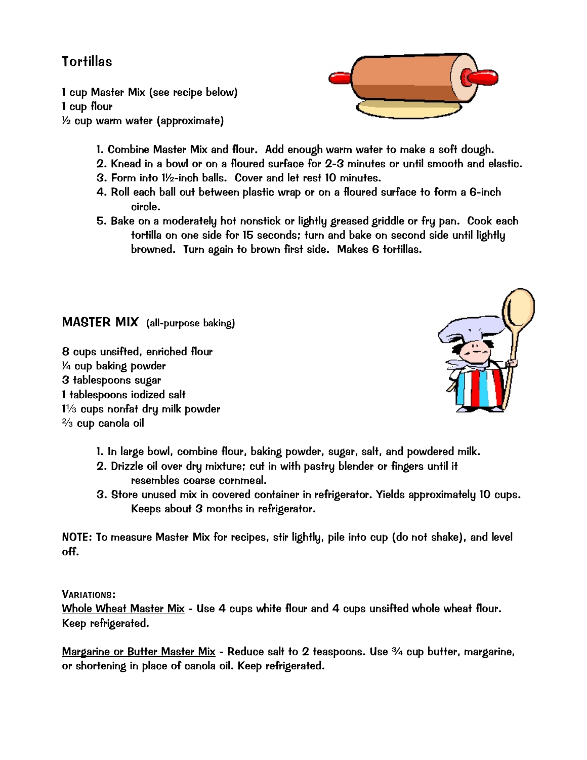## **Tortillas**

1 cup *Master Mix* (see recipe below) 1 cup flour ½ cup warm water (approximate)



- 2. Knead in a bowl or on a floured surface for 2-3 minutes or until smooth and elastic.
- 3. Form into 1½-inch balls. Cover and let rest 10 minutes.
- 4. Roll each ball out between plastic wrap or on a floured surface to form a 6-inch circle.
- 5. Bake on a moderately hot nonstick or lightly greased griddle or fry pan. Cook each tortilla on one side for 15 seconds; turn and bake on second side until lightly browned. Turn again to brown first side. Makes 6 tortillas.

MASTER MIX (all-purpose baking)

8 cups unsifted, enriched flour ¼ cup baking powder 3 tablespoons sugar 1 tablespoons iodized salt  $1\frac{1}{3}$  cups nonfat dry milk powder  $\frac{2}{3}$  cup canola oil



- 1. In large bowl, combine flour, baking powder, sugar, salt, and powdered milk.
- 2. Drizzle oil over dry mixture; cut in with pastry blender or fingers until it resembles coarse cornmeal.
- 3. Store unused mix in covered container in refrigerator. Yields approximately 10 cups. Keeps about 3 months in refrigerator.

NOTE: To measure *Master Mix* for recipes, stir lightly, pile into cup (do not shake), and level off.

VARIATIONS:

Whole Wheat Master Mix - Use 4 cups white flour and 4 cups unsifted whole wheat flour. Keep refrigerated.

Margarine or Butter Master Mix - Reduce salt to 2 teaspoons. Use 3/4 cup butter, margarine, or shortening in place of canola oil. Keep refrigerated.